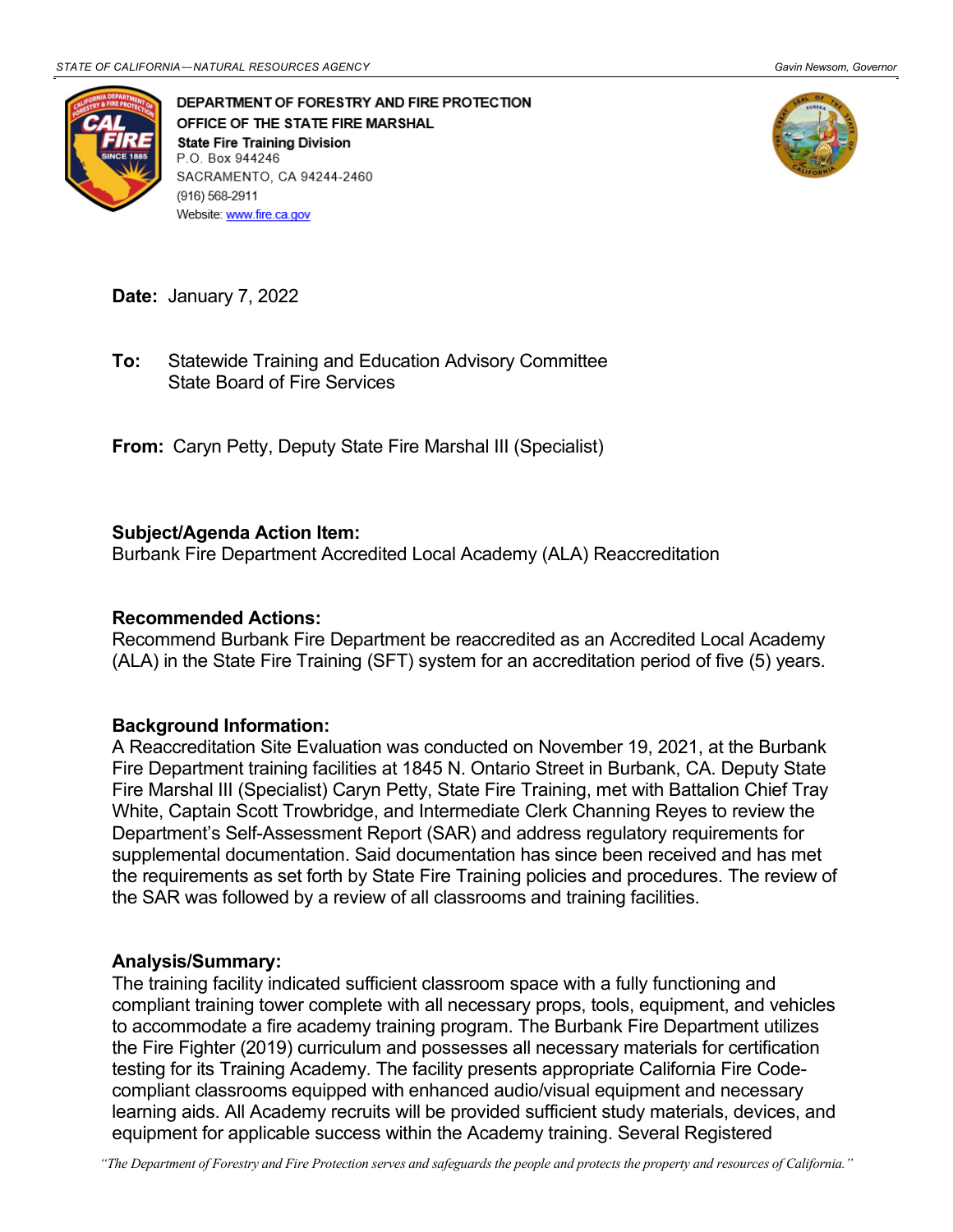

DEPARTMENT OF FORESTRY AND FIRE PROTECTION OFFICE OF THE STATE FIRE MARSHAL **State Fire Training Division** P.O. Box 944246 SACRAMENTO, CA 94244-2460 (916) 568-2911 Website: www.fire.ca.gov



**Date:** January 7, 2022

 State Board of Fire Services **To:** Statewide Training and Education Advisory Committee

 **From:** Caryn Petty, Deputy State Fire Marshal III (Specialist)

## **Subject/Agenda Action Item:**

Burbank Fire Department Accredited Local Academy (ALA) Reaccreditation

## **Recommended Actions:**

 (ALA) in the State Fire Training (SFT) system for an accreditation period of five (5) years. Recommend Burbank Fire Department be reaccredited as an Accredited Local Academy

## **Background Information:**

 supplemental documentation. Said documentation has since been received and has met the requirements as set forth by State Fire Training policies and procedures. The review of A Reaccreditation Site Evaluation was conducted on November 19, 2021, at the Burbank Fire Department training facilities at 1845 N. Ontario Street in Burbank, CA. Deputy State Fire Marshal III (Specialist) Caryn Petty, State Fire Training, met with Battalion Chief Tray White, Captain Scott Trowbridge, and Intermediate Clerk Channing Reyes to review the Department's Self-Assessment Report (SAR) and address regulatory requirements for the SAR was followed by a review of all classrooms and training facilities.

## **Analysis/Summary:**

 compliant training tower complete with all necessary props, tools, equipment, and vehicles to accommodate a fire academy training program. The Burbank Fire Department utilizes the Fire Fighter (2019) curriculum and possesses all necessary materials for certification learning aids. All Academy recruits will be provided sufficient study materials, devices, and The training facility indicated sufficient classroom space with a fully functioning and testing for its Training Academy. The facility presents appropriate California Fire Codecompliant classrooms equipped with enhanced audio/visual equipment and necessary equipment for applicable success within the Academy training. Several Registered